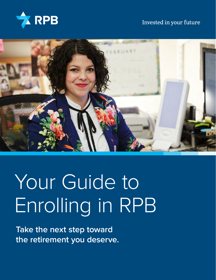

## Invested in your future



# Your Guide to Enrolling in RPB

**Take the next step toward the retirement you deserve.**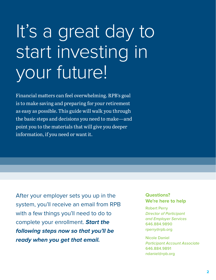# It's a great day to start investing in your future!

Financial matters can feel overwhelming. RPB's goal is to make saving and preparing for your retirement as easy as possible. This guide will walk you through the basic steps and decisions you need to make—and point you to the materials that will give you deeper information, if you need or want it.

After your employer sets you up in the system, you'll receive an email from RPB with a few things you'll need to do to complete your enrollment. *Start the following steps now so that you'll be ready when you get that email.*

### **Questions? We're here to help**

Robert Perry *Director of Participant and Employer Services* [646.884.9890](tel:6468849890) [rperry@rpb.org](mailto:rperry%40rpb.org?subject=)

Nicole Daniel *Participant Account Associate* [646.884.9891](tel:6468849891) [ndaniel@rpb.org](mailto:ndaniel%40rpb.org?subject=)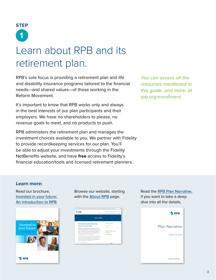# Learn about RPB and its retirement plan. **STEP 1**

RPB's sole focus is providing a retirement plan and life and disability insurance programs tailored to the financial needs—and shared values—of those working in the Reform Movement.

It's important to know that RPB works only and always in the best interests of our plan participants and their employers. We have no shareholders to please, no revenue goals to meet, and no products to push.

RPB administers the retirement plan and manages the investment choices available to you. We partner with Fidelity to provide recordkeeping services for our plan. You'll be able to adjust your investments through the Fidelity NetBenefits website, and have **free** access to Fidelity's financial education/tools and licensed retirement planners.

*You can access all the resources mentioned in this guide, and more, at [rpb.org](http://rpb.org/forms-downloads)/enrollment.*

### **Learn more:**

Read our brochure, [Invested in your future:](https://www.rpb.org/uploads/documents/About-RPB-Pamphlet.pdf)  [An introduction to RPB](https://www.rpb.org/uploads/documents/About-RPB-Pamphlet.pdf).



Browse our website, starting with the [About RPB](https://www.rpb.org/about-rpb) page.



Read the [RPB Plan Narrative](https://www.rpb.org/uploads/documents/RPB-Plan-Narrative.pdf), if you want to take a deep dive into all the details.

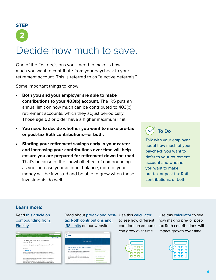## Decide how much to save. **STEP 2**

One of the first decisions you'll need to make is how much you want to contribute from your paycheck to your retirement account. This is referred to as "elective deferrals."

Some important things to know:

- **Both you and your employer are able to make contributions to your 403(b) account.** The IRS puts an annual limit on how much can be contributed to 403(b) retirement accounts, which they adjust periodically. Those age 50 or older have a higher maximum limit.
- **You need to decide whether you want to make pre-tax or post-tax Roth contributions—or both.**
- **Starting your retirement savings early in your career and increasing your contributions over time will help ensure you are prepared for retirement down the road.** That's because of the snowball effect of compounding as you increase your account balance, more of your money will be invested and be able to grow when those investments do well.

## **To Do**

Talk with your employer about how much of your paycheck you want to defer to your retirement account and whether you want to make pre-tax or post-tax Roth contributions, or both.

#### **Learn more:**

Read [this article on](https://www.fidelity.com/learning-center/personal-finance/retirement/continuous-contributions-compounding)  [compounding from](https://www.fidelity.com/learning-center/personal-finance/retirement/continuous-contributions-compounding)  [Fidelity](https://www.fidelity.com/learning-center/personal-finance/retirement/continuous-contributions-compounding).



Read about <u>pre-tax and post-</u> Use this <u>[calculator](https://www.bankrate.com/retirement/calculators/403-b-calculator/)</u> [tax Roth contributions and](https://www.rpb.org/contributions)  [IRS limits](https://www.rpb.org/contributions) on our website.

| RPB<br>brented in your future!                                                                                          | C. Minister<br>men), confective extense - Alloom -<br>Why RPS<br>Employer Services<br><b>Ectivenees</b><br>Researces<br>Instrutor |
|-------------------------------------------------------------------------------------------------------------------------|-----------------------------------------------------------------------------------------------------------------------------------|
|                                                                                                                         | Contributions                                                                                                                     |
|                                                                                                                         | TOPICS ON THIS PAGE.                                                                                                              |
| Saving today for the retirement you<br>want tomorrow                                                                    | Employer contributions and employee<br>elective salary determin                                                                   |
| We're here to help you make the most of your RPB employer-<br>sponsored retirement plan. As you're considering your     | Products in continue liters contributions                                                                                         |
| committed on options, keep in mind that both you and your<br>employer can put money into your account each year. The    | <b>RS Comburies limbs</b>                                                                                                         |
| comitations from your paycheck can be made as pre-tax<br>comhitutions, post-tax Roth contributions, or a combination of | <b>BELATER ROCHMENTS A LIMES:</b>                                                                                                 |
| both.                                                                                                                   | <b>Retirement Sevings Coloulation</b>                                                                                             |
| We recommend that your annual contributions total at least 18% of your total annual                                     | <b>Elective Solary Outland Form</b>                                                                                               |
| compensation: 15% from your employer and 2% or more from your paycheck. Every                                           |                                                                                                                                   |

to see how different can grow over time.

contribution amounts tax Roth contributions will Use this [calculator](https://www.bankrate.com/retirement/calculators/401-k-or-roth-ira-calculator/) to see how making pre- or postimpact growth over time.



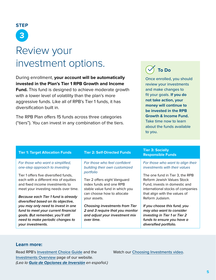

During enrollment, **your account will be automatically invested in the Plan's Tier 1 RPB Growth and Income Fund.** This fund is designed to achieve moderate growth with a lower level of volatility than the plan's more aggressive funds. Like all of RPB's Tier 1 funds, it has diversification built in.

The RPB Plan offers 15 funds across three categories ("tiers"). You can invest in any combination of the tiers.

## **To Do**

Once enrolled, you should review your investments and make changes to fit your goals. **If you do not take action, your money will continue to be invested in the RPB Growth & Income Fund.** Take time now to learn about the funds available to you.

| <b>Tier 1: Target Allocation Funds</b>                             | <b>Tier 2: Self-Directed Funds</b>                            | <b>Tier 3: Socially</b><br><b>Responsible Funds</b>                |
|--------------------------------------------------------------------|---------------------------------------------------------------|--------------------------------------------------------------------|
| For those who want a simplified,<br>one-step approach to investing | For those who feel confident<br>building their own customized | For those who want to align their<br>investments with their values |
| Tier 1 offers five diversified funds,                              | portfolio                                                     | The one fund in Tier 3, the RPB                                    |
| each with a different mix of equities                              | Tier 2 offers eight Vanguard                                  | Reform Jewish Values Stock                                         |
| and fixed income investments to                                    | index funds and one RPB                                       | Fund, invests in domestic and                                      |
| meet your investing needs over time.                               | stable value fund in which you                                | international stocks of companies                                  |
| Because each Tier 1 fund is already                                | can choose how to allocate                                    | that align with the values of                                      |
| diversified based on its objective,                                | your assets.                                                  | Reform Judaism.                                                    |
| you may only need to invest in one                                 | Choosing investments from Tier                                | If you choose this fund, you                                       |
| fund to meet your current financial                                | 2 and 3 require that you monitor                              | may also want to consider                                          |
| goals. But remember, you'll still                                  | and adjust your investment mix                                | investing in Tier 1 or Tier 2                                      |
| need to make periodic changes to                                   | over time.                                                    | funds to ensure you have a                                         |

#### **Learn more:**

*your investments.*

Read RPB's [Investment Choice Guide](https://www.rpb.org/uploads/documents/InvestmentChoiceBrochure.pdf) and the [Investments Overview](https://www.rpb.org/investments) page of our website. *(Lea la [Guía de Opciones de Inversión](https://www.rpb.org/uploads/documents/Investment-Choice-Guide-Spanish.pdf) en español.)* Watch our [Choosing Investments video](https://www.rpb.org/enrollment#choosing-investments).

*diversified portfolio.*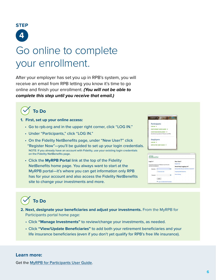

# Go online to complete your enrollment.

After your employer has set you up in RPB's system, you will receive an email from RPB letting you know it's time to go online and finish your enrollment. *(You will not be able to complete this step until you receive that email.)*



- **1. First, set up your online access:**
	- Go to rpb.org and in the upper right corner, click "LOG IN."
	- Under "Participants," click "LOG IN."
	- On the Fidelity NetBenefits page, under "New User?" click "Register Now"—you'll be guided to set up your login credentials. NOTE: If you already have an account with Fidelity, use your existing login credentials on the Fidelity NetBenefits page.
	- Click the **MyRPB Portal** link at the top of the Fidelity NetBenefits home page. You always want to start at the MyRPB portal—it's where you can get information only RPB has for your account and also access the Fidelity NetBenefits site to change your investments and more.

| Participants                           |   |
|----------------------------------------|---|
| LOG IN >                               |   |
| <b>PARTICIPANT USER GUIDE →</b>        |   |
| CONTINUE ENROLLMENT >                  |   |
| Enrollment questions? Please call RPB. |   |
| <b>Employers</b>                       |   |
| LOG IN +                               |   |
| <b>EMPLOYER USER GUIDE →</b>           |   |
|                                        |   |
|                                        |   |
| $- - -$                                |   |
| <b>Fidelity</b><br><b>NetBenefits</b>  |   |
| .                                      | . |

| <b>Fidelity</b><br><b>NetRenefits</b> |                                                     |                                                |  |  |
|---------------------------------------|-----------------------------------------------------|------------------------------------------------|--|--|
| Log In <sup>a</sup>                   |                                                     | New Heer?                                      |  |  |
|                                       | If you have an account on Fidelity.com use the same | Register Now                                   |  |  |
| usemame and password.                 |                                                     | Need Help Logging in?                          |  |  |
| Username                              | ø                                                   | Having trouble with your username or password? |  |  |
|                                       | Remember Mo.                                        | <b>Frequently Asked Questions</b>              |  |  |
| Password                              | ø                                                   | <b>Online Security</b>                         |  |  |
|                                       | Log In                                              |                                                |  |  |
|                                       | ۰<br>Log in to NetBenefits® Worldwide               |                                                |  |  |

## **To Do**

- **2. Next, designate your beneficiaries and adjust your investments.** From the MyRPB for Participants portal home page:
	- Click **"Manage Investments"** to review/change your investments, as needed.
	- Click **"View/Update Beneficiaries"** to add both your retirement beneficiaries and your life insurance beneficiaries (even if you don't yet qualify for RPB's free life insurance).

#### **Learn more:**

Get the [MyRPB for Participants User Guide](https://www.rpb.org/myrpb-for-participants-guide).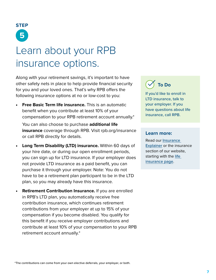

# Learn about your RPB insurance options.

Along with your retirement savings, it's important to have other safety nets in place to help provide financial security for you and your loved ones. That's why RPB offers the following insurance options at no or low-cost to you:

• **Free Basic Term life insurance.** This is an automatic benefit when you contribute at least 10% of your compensation to your RPB retirement account annually.\*

You can also choose to purchase **additional life insurance** coverage through RPB. Visit rpb.org/insurance or call RPB directly for details.

- **Long Term Disability (LTD) insurance.** Within 60 days of your hire date, or during our open enrollment periods, you can sign up for LTD insurance. If your employer does not provide LTD insurance as a paid benefit, you can purchase it through your employer. Note: You do not have to be a retirement plan participant to be in the LTD plan, so you may already have this insurance.
- **Retirement Contribution Insurance.** If you are enrolled in RPB's LTD plan, you automatically receive free contribution insurance, which continues retirement contributions from your employer at up to 15% of your compensation if you become disabled. You qualify for this benefit if you receive employer contributions and contribute at least 10% of your compensation to your RPB retirement account annually.\*

## **To Do**

If you'd like to enroll in LTD insurance, talk to your employer. If you have questions about life insurance, call RPB.

#### **Learn more:**

Read our [Insurance](https://www.rpb.org/uploads/documents/RPB-Insurance-Explainer.pdf)  [Explainer](https://www.rpb.org/uploads/documents/RPB-Insurance-Explainer.pdf) or the insurance section of our website, starting with the life [insurance page](https://www.rpb.org/life-insurance).